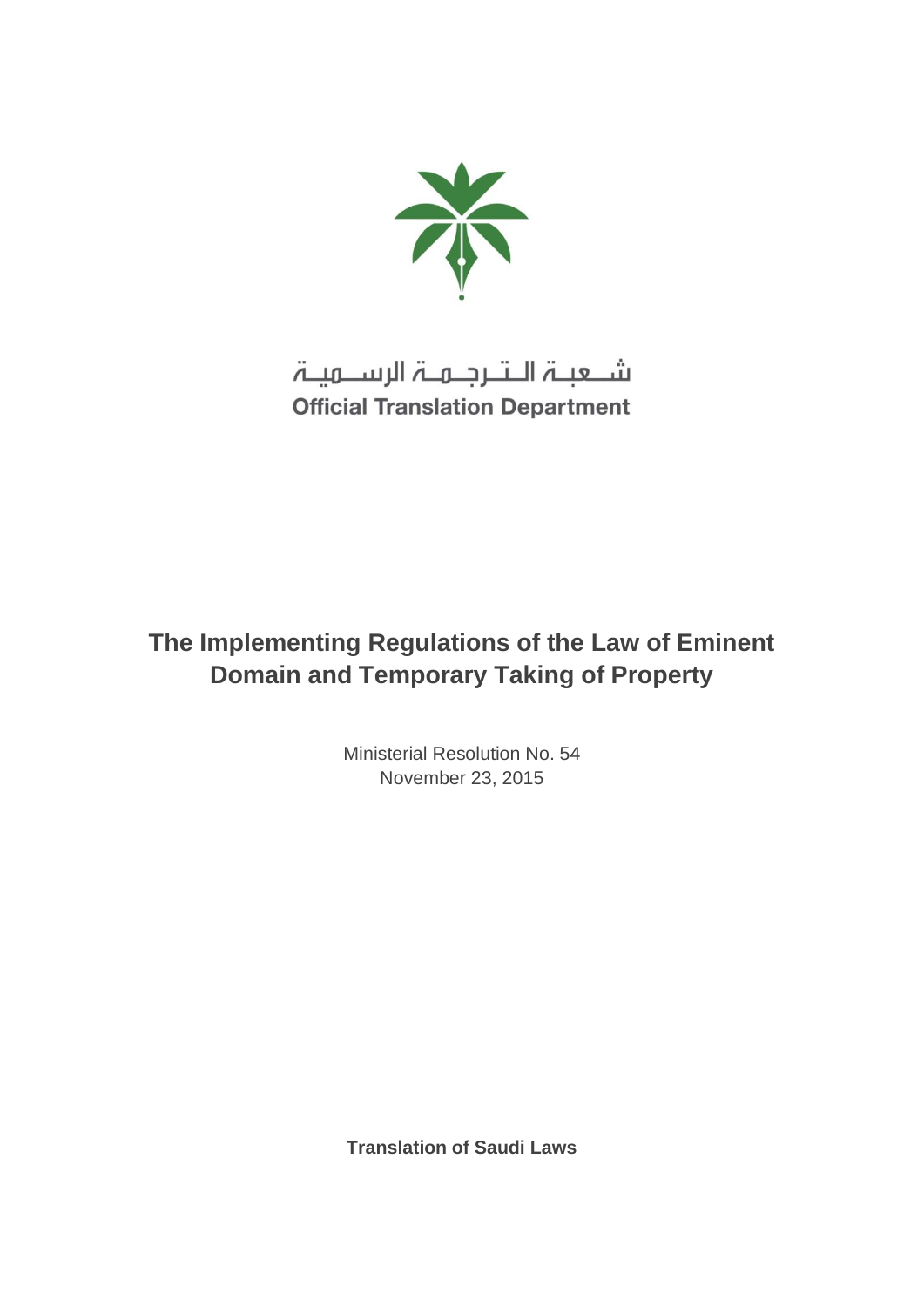

شــعبــۃ الــتــرجــمــۃ الرســـمیــۃ **Official Translation Department** 

# **The Implementing Regulations of the Law of Eminent Domain and Temporary Taking of Property**

Ministerial Resolution No. 54 November 23, 2015

**Translation of Saudi Laws**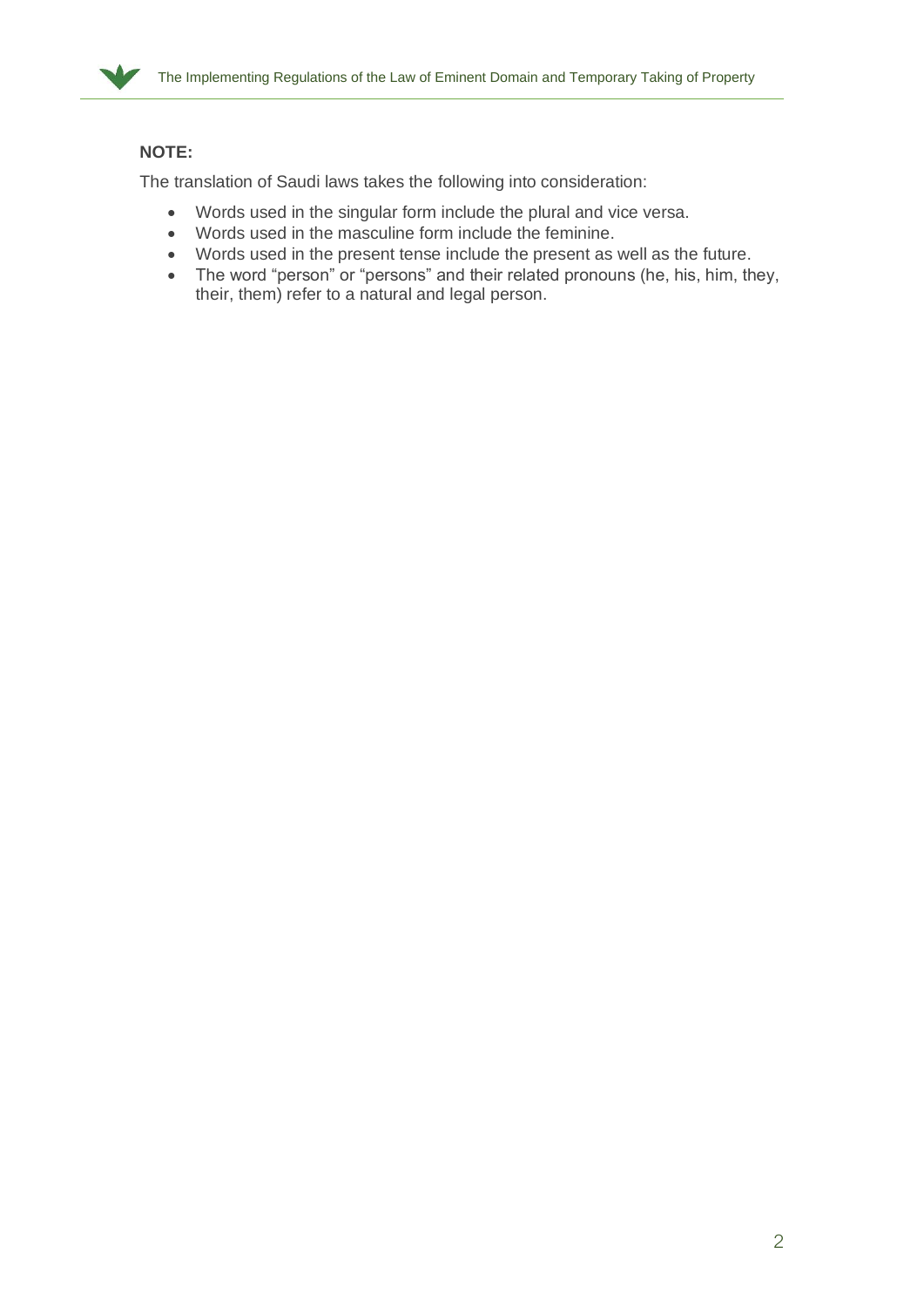

#### **NOTE:**

The translation of Saudi laws takes the following into consideration:

- Words used in the singular form include the plural and vice versa.
- Words used in the masculine form include the feminine.
- Words used in the present tense include the present as well as the future.
- The word "person" or "persons" and their related pronouns (he, his, him, they, their, them) refer to a natural and legal person.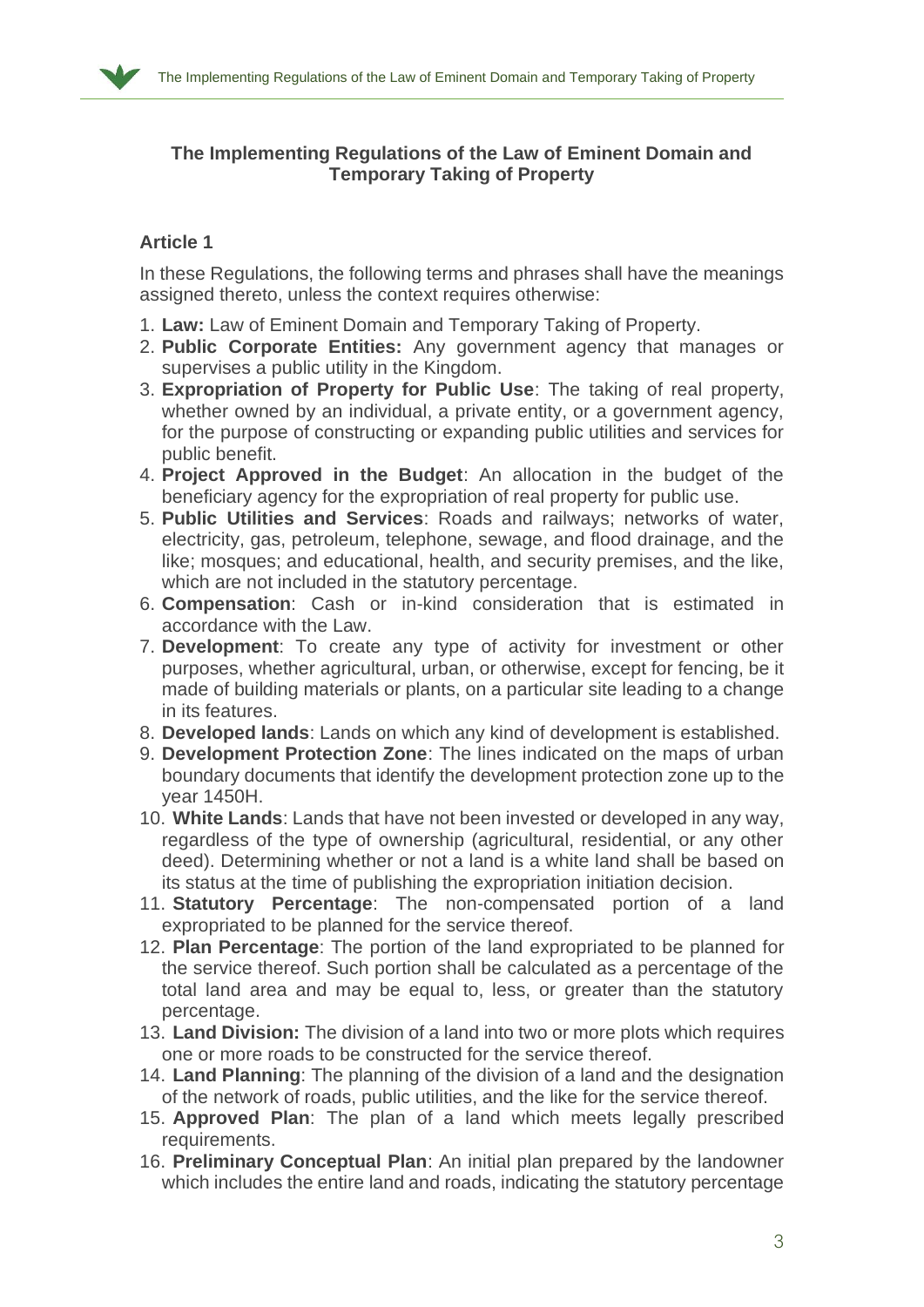

## **The Implementing Regulations of the Law of Eminent Domain and Temporary Taking of Property**

## **Article 1**

In these Regulations, the following terms and phrases shall have the meanings assigned thereto, unless the context requires otherwise:

- 1. **Law:** Law of Eminent Domain and Temporary Taking of Property.
- 2. **Public Corporate Entities:** Any government agency that manages or supervises a public utility in the Kingdom.
- 3. **Expropriation of Property for Public Use**: The taking of real property, whether owned by an individual, a private entity, or a government agency, for the purpose of constructing or expanding public utilities and services for public benefit.
- 4. **Project Approved in the Budget**: An allocation in the budget of the beneficiary agency for the expropriation of real property for public use.
- 5. **Public Utilities and Services**: Roads and railways; networks of water, electricity, gas, petroleum, telephone, sewage, and flood drainage, and the like; mosques; and educational, health, and security premises, and the like, which are not included in the statutory percentage.
- 6. **Compensation**: Cash or in-kind consideration that is estimated in accordance with the Law.
- 7. **Development**: To create any type of activity for investment or other purposes, whether agricultural, urban, or otherwise, except for fencing, be it made of building materials or plants, on a particular site leading to a change in its features.
- 8. **Developed lands**: Lands on which any kind of development is established.
- 9. **Development Protection Zone**: The lines indicated on the maps of urban boundary documents that identify the development protection zone up to the year 1450H.
- 10. **White Lands**: Lands that have not been invested or developed in any way, regardless of the type of ownership (agricultural, residential, or any other deed). Determining whether or not a land is a white land shall be based on its status at the time of publishing the expropriation initiation decision.
- 11. **Statutory Percentage**: The non-compensated portion of a land expropriated to be planned for the service thereof.
- 12. **Plan Percentage**: The portion of the land expropriated to be planned for the service thereof. Such portion shall be calculated as a percentage of the total land area and may be equal to, less, or greater than the statutory percentage.
- 13. **Land Division:** The division of a land into two or more plots which requires one or more roads to be constructed for the service thereof.
- 14. **Land Planning**: The planning of the division of a land and the designation of the network of roads, public utilities, and the like for the service thereof.
- 15. **Approved Plan**: The plan of a land which meets legally prescribed requirements.
- 16. **Preliminary Conceptual Plan**: An initial plan prepared by the landowner which includes the entire land and roads, indicating the statutory percentage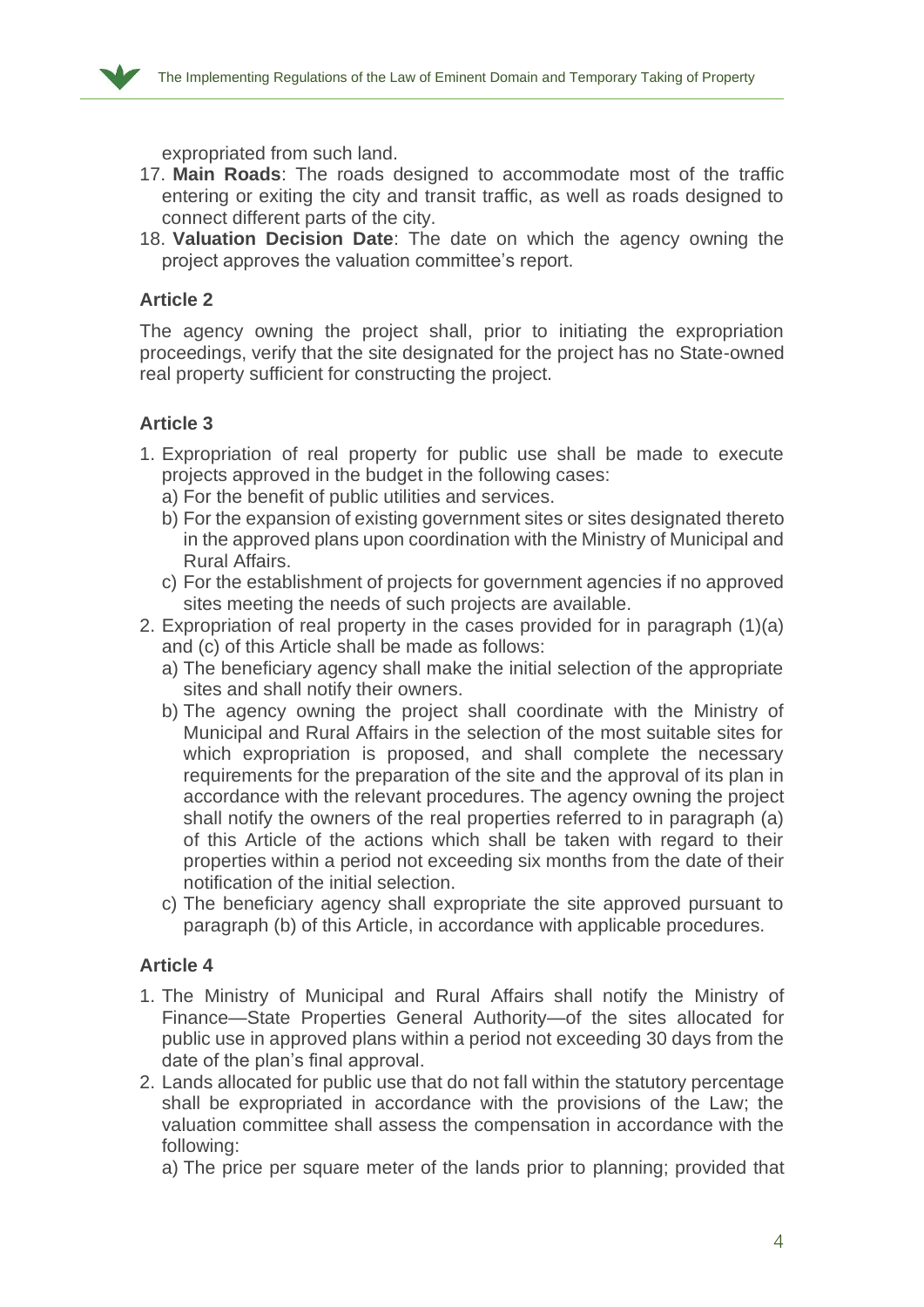

expropriated from such land.

- 17. **Main Roads**: The roads designed to accommodate most of the traffic entering or exiting the city and transit traffic, as well as roads designed to connect different parts of the city.
- 18. **Valuation Decision Date**: The date on which the agency owning the project approves the valuation committee's report.

## **Article 2**

The agency owning the project shall, prior to initiating the expropriation proceedings, verify that the site designated for the project has no State-owned real property sufficient for constructing the project.

#### **Article 3**

- 1. Expropriation of real property for public use shall be made to execute projects approved in the budget in the following cases:
	- a) For the benefit of public utilities and services.
	- b) For the expansion of existing government sites or sites designated thereto in the approved plans upon coordination with the Ministry of Municipal and Rural Affairs.
	- c) For the establishment of projects for government agencies if no approved sites meeting the needs of such projects are available.
- 2. Expropriation of real property in the cases provided for in paragraph (1)(a) and (c) of this Article shall be made as follows:
	- a) The beneficiary agency shall make the initial selection of the appropriate sites and shall notify their owners.
	- b) The agency owning the project shall coordinate with the Ministry of Municipal and Rural Affairs in the selection of the most suitable sites for which expropriation is proposed, and shall complete the necessary requirements for the preparation of the site and the approval of its plan in accordance with the relevant procedures. The agency owning the project shall notify the owners of the real properties referred to in paragraph (a) of this Article of the actions which shall be taken with regard to their properties within a period not exceeding six months from the date of their notification of the initial selection.
	- c) The beneficiary agency shall expropriate the site approved pursuant to paragraph (b) of this Article, in accordance with applicable procedures.

#### **Article 4**

- 1. The Ministry of Municipal and Rural Affairs shall notify the Ministry of Finance—State Properties General Authority—of the sites allocated for public use in approved plans within a period not exceeding 30 days from the date of the plan's final approval.
- 2. Lands allocated for public use that do not fall within the statutory percentage shall be expropriated in accordance with the provisions of the Law; the valuation committee shall assess the compensation in accordance with the following:

a) The price per square meter of the lands prior to planning; provided that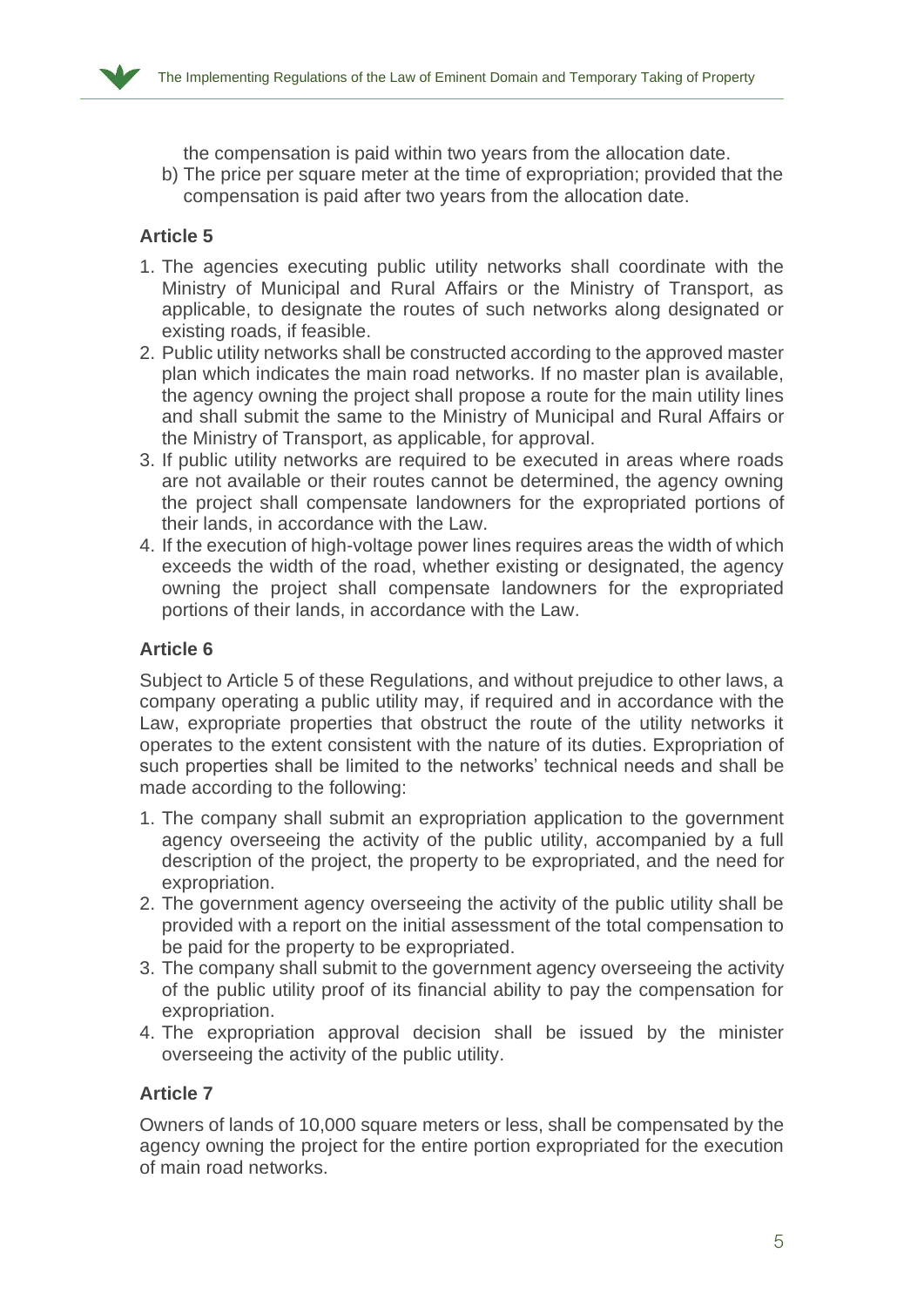

the compensation is paid within two years from the allocation date.

b) The price per square meter at the time of expropriation; provided that the compensation is paid after two years from the allocation date.

### **Article 5**

- 1. The agencies executing public utility networks shall coordinate with the Ministry of Municipal and Rural Affairs or the Ministry of Transport, as applicable, to designate the routes of such networks along designated or existing roads, if feasible.
- 2. Public utility networks shall be constructed according to the approved master plan which indicates the main road networks. If no master plan is available, the agency owning the project shall propose a route for the main utility lines and shall submit the same to the Ministry of Municipal and Rural Affairs or the Ministry of Transport, as applicable, for approval.
- 3. If public utility networks are required to be executed in areas where roads are not available or their routes cannot be determined, the agency owning the project shall compensate landowners for the expropriated portions of their lands, in accordance with the Law.
- 4. If the execution of high-voltage power lines requires areas the width of which exceeds the width of the road, whether existing or designated, the agency owning the project shall compensate landowners for the expropriated portions of their lands, in accordance with the Law.

#### **Article 6**

Subject to Article 5 of these Regulations, and without prejudice to other laws, a company operating a public utility may, if required and in accordance with the Law, expropriate properties that obstruct the route of the utility networks it operates to the extent consistent with the nature of its duties. Expropriation of such properties shall be limited to the networks' technical needs and shall be made according to the following:

- 1. The company shall submit an expropriation application to the government agency overseeing the activity of the public utility, accompanied by a full description of the project, the property to be expropriated, and the need for expropriation.
- 2. The government agency overseeing the activity of the public utility shall be provided with a report on the initial assessment of the total compensation to be paid for the property to be expropriated.
- 3. The company shall submit to the government agency overseeing the activity of the public utility proof of its financial ability to pay the compensation for expropriation.
- 4. The expropriation approval decision shall be issued by the minister overseeing the activity of the public utility.

#### **Article 7**

Owners of lands of 10,000 square meters or less, shall be compensated by the agency owning the project for the entire portion expropriated for the execution of main road networks.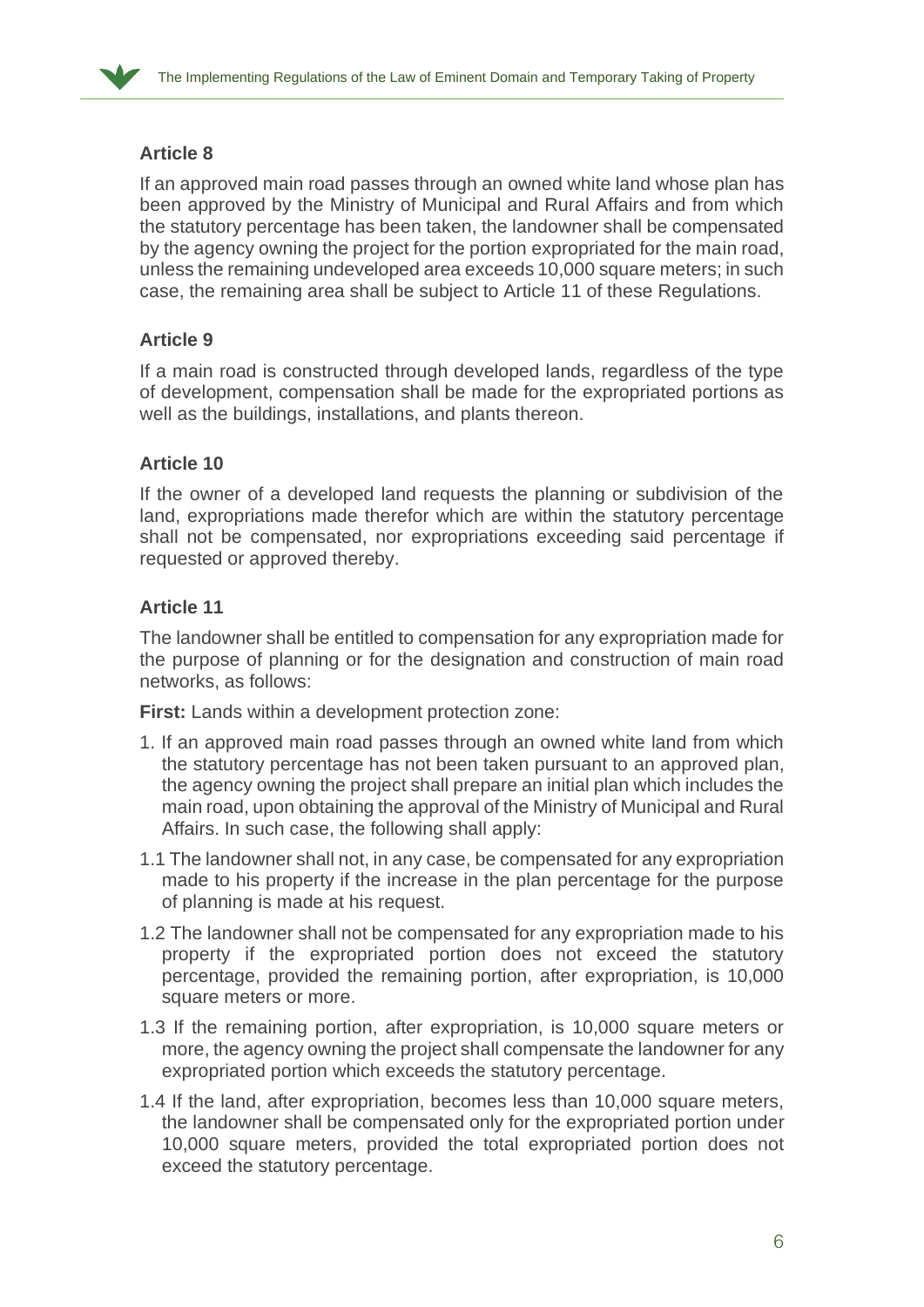

If an approved main road passes through an owned white land whose plan has been approved by the Ministry of Municipal and Rural Affairs and from which the statutory percentage has been taken, the landowner shall be compensated by the agency owning the project for the portion expropriated for the main road, unless the remaining undeveloped area exceeds 10,000 square meters; in such case, the remaining area shall be subject to Article 11 of these Regulations.

### **Article 9**

If a main road is constructed through developed lands, regardless of the type of development, compensation shall be made for the expropriated portions as well as the buildings, installations, and plants thereon.

### **Article 10**

If the owner of a developed land requests the planning or subdivision of the land, expropriations made therefor which are within the statutory percentage shall not be compensated, nor expropriations exceeding said percentage if requested or approved thereby.

#### **Article 11**

The landowner shall be entitled to compensation for any expropriation made for the purpose of planning or for the designation and construction of main road networks, as follows:

**First:** Lands within a development protection zone:

- 1. If an approved main road passes through an owned white land from which the statutory percentage has not been taken pursuant to an approved plan, the agency owning the project shall prepare an initial plan which includes the main road, upon obtaining the approval of the Ministry of Municipal and Rural Affairs. In such case, the following shall apply:
- 1.1 The landowner shall not, in any case, be compensated for any expropriation made to his property if the increase in the plan percentage for the purpose of planning is made at his request.
- 1.2 The landowner shall not be compensated for any expropriation made to his property if the expropriated portion does not exceed the statutory percentage, provided the remaining portion, after expropriation, is 10,000 square meters or more.
- 1.3 If the remaining portion, after expropriation, is 10,000 square meters or more, the agency owning the project shall compensate the landowner for any expropriated portion which exceeds the statutory percentage.
- 1.4 If the land, after expropriation, becomes less than 10,000 square meters, the landowner shall be compensated only for the expropriated portion under 10,000 square meters, provided the total expropriated portion does not exceed the statutory percentage.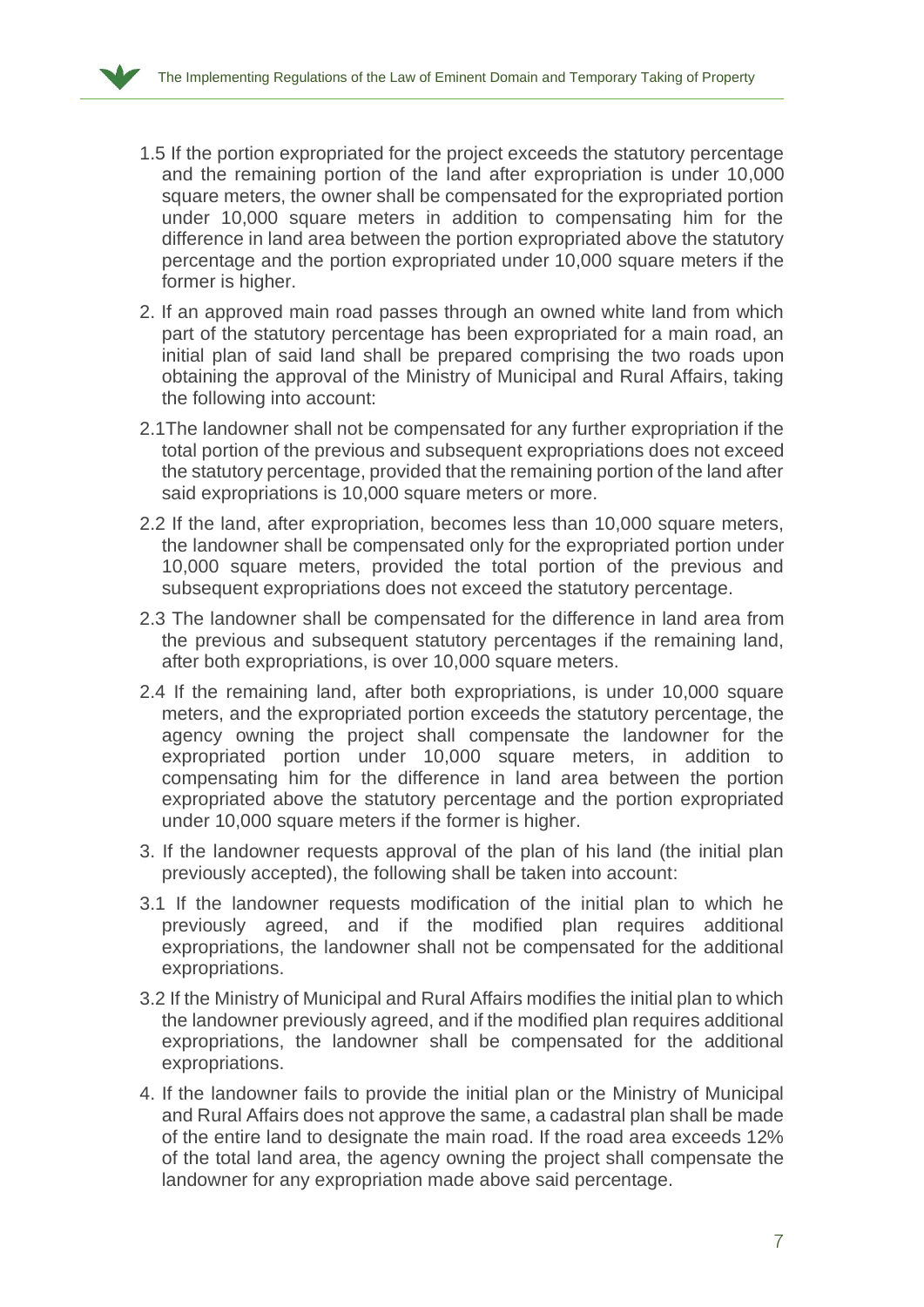

- 1.5 If the portion expropriated for the project exceeds the statutory percentage and the remaining portion of the land after expropriation is under 10,000 square meters, the owner shall be compensated for the expropriated portion under 10,000 square meters in addition to compensating him for the difference in land area between the portion expropriated above the statutory percentage and the portion expropriated under 10,000 square meters if the former is higher.
- 2. If an approved main road passes through an owned white land from which part of the statutory percentage has been expropriated for a main road, an initial plan of said land shall be prepared comprising the two roads upon obtaining the approval of the Ministry of Municipal and Rural Affairs, taking the following into account:
- 2.1The landowner shall not be compensated for any further expropriation if the total portion of the previous and subsequent expropriations does not exceed the statutory percentage, provided that the remaining portion of the land after said expropriations is 10,000 square meters or more.
- 2.2 If the land, after expropriation, becomes less than 10,000 square meters, the landowner shall be compensated only for the expropriated portion under 10,000 square meters, provided the total portion of the previous and subsequent expropriations does not exceed the statutory percentage.
- 2.3 The landowner shall be compensated for the difference in land area from the previous and subsequent statutory percentages if the remaining land, after both expropriations, is over 10,000 square meters.
- 2.4 If the remaining land, after both expropriations, is under 10,000 square meters, and the expropriated portion exceeds the statutory percentage, the agency owning the project shall compensate the landowner for the expropriated portion under 10,000 square meters, in addition to compensating him for the difference in land area between the portion expropriated above the statutory percentage and the portion expropriated under 10,000 square meters if the former is higher.
- 3. If the landowner requests approval of the plan of his land (the initial plan previously accepted), the following shall be taken into account:
- 3.1 If the landowner requests modification of the initial plan to which he previously agreed, and if the modified plan requires additional expropriations, the landowner shall not be compensated for the additional expropriations.
- 3.2 If the Ministry of Municipal and Rural Affairs modifies the initial plan to which the landowner previously agreed, and if the modified plan requires additional expropriations, the landowner shall be compensated for the additional expropriations.
- 4. If the landowner fails to provide the initial plan or the Ministry of Municipal and Rural Affairs does not approve the same, a cadastral plan shall be made of the entire land to designate the main road. If the road area exceeds 12% of the total land area, the agency owning the project shall compensate the landowner for any expropriation made above said percentage.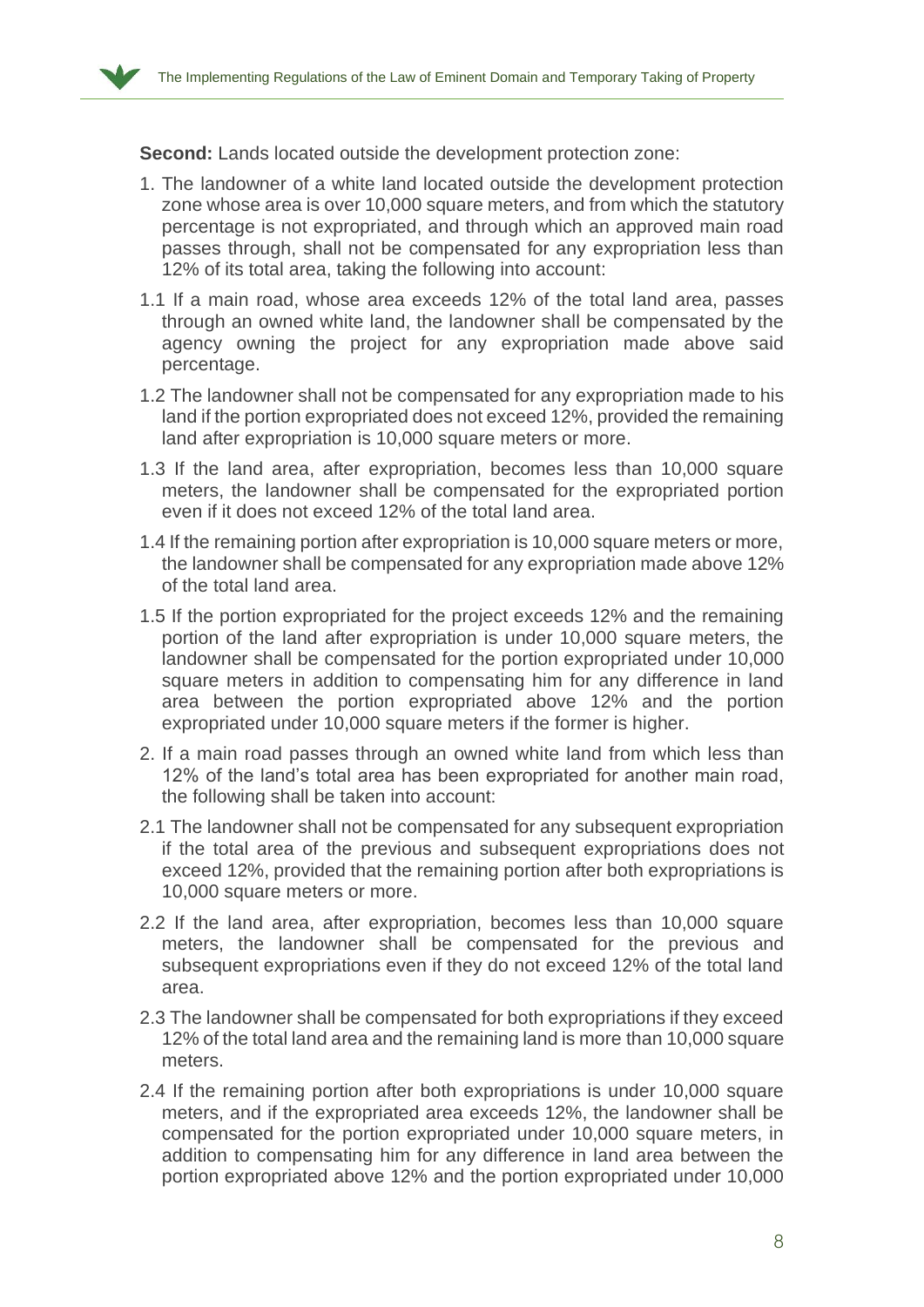

**Second:** Lands located outside the development protection zone:

- 1. The landowner of a white land located outside the development protection zone whose area is over 10,000 square meters, and from which the statutory percentage is not expropriated, and through which an approved main road passes through, shall not be compensated for any expropriation less than 12% of its total area, taking the following into account:
- 1.1 If a main road, whose area exceeds 12% of the total land area, passes through an owned white land, the landowner shall be compensated by the agency owning the project for any expropriation made above said percentage.
- 1.2 The landowner shall not be compensated for any expropriation made to his land if the portion expropriated does not exceed 12%, provided the remaining land after expropriation is 10,000 square meters or more.
- 1.3 If the land area, after expropriation, becomes less than 10,000 square meters, the landowner shall be compensated for the expropriated portion even if it does not exceed 12% of the total land area.
- 1.4 If the remaining portion after expropriation is 10,000 square meters or more, the landowner shall be compensated for any expropriation made above 12% of the total land area.
- 1.5 If the portion expropriated for the project exceeds 12% and the remaining portion of the land after expropriation is under 10,000 square meters, the landowner shall be compensated for the portion expropriated under 10,000 square meters in addition to compensating him for any difference in land area between the portion expropriated above 12% and the portion expropriated under 10,000 square meters if the former is higher.
- 2. If a main road passes through an owned white land from which less than 12% of the land's total area has been expropriated for another main road, the following shall be taken into account:
- 2.1 The landowner shall not be compensated for any subsequent expropriation if the total area of the previous and subsequent expropriations does not exceed 12%, provided that the remaining portion after both expropriations is 10,000 square meters or more.
- 2.2 If the land area, after expropriation, becomes less than 10,000 square meters, the landowner shall be compensated for the previous and subsequent expropriations even if they do not exceed 12% of the total land area.
- 2.3 The landowner shall be compensated for both expropriations if they exceed 12% of the total land area and the remaining land is more than 10,000 square meters.
- 2.4 If the remaining portion after both expropriations is under 10,000 square meters, and if the expropriated area exceeds 12%, the landowner shall be compensated for the portion expropriated under 10,000 square meters, in addition to compensating him for any difference in land area between the portion expropriated above 12% and the portion expropriated under 10,000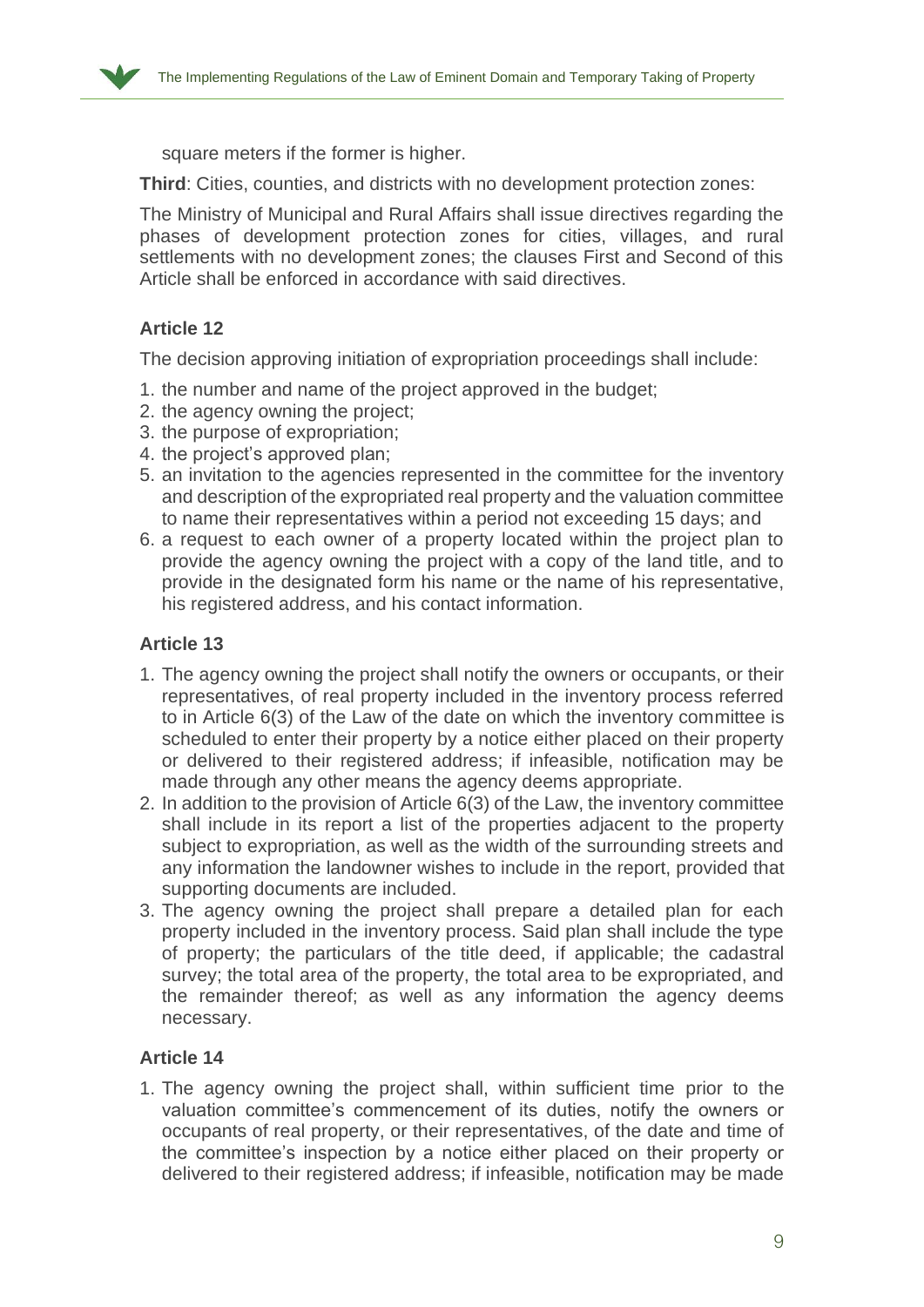

square meters if the former is higher.

**Third**: Cities, counties, and districts with no development protection zones:

The Ministry of Municipal and Rural Affairs shall issue directives regarding the phases of development protection zones for cities, villages, and rural settlements with no development zones; the clauses First and Second of this Article shall be enforced in accordance with said directives.

## **Article 12**

The decision approving initiation of expropriation proceedings shall include:

- 1. the number and name of the project approved in the budget;
- 2. the agency owning the project;
- 3. the purpose of expropriation;
- 4. the project's approved plan;
- 5. an invitation to the agencies represented in the committee for the inventory and description of the expropriated real property and the valuation committee to name their representatives within a period not exceeding 15 days; and
- 6. a request to each owner of a property located within the project plan to provide the agency owning the project with a copy of the land title, and to provide in the designated form his name or the name of his representative, his registered address, and his contact information.

## **Article 13**

- 1. The agency owning the project shall notify the owners or occupants, or their representatives, of real property included in the inventory process referred to in Article 6(3) of the Law of the date on which the inventory committee is scheduled to enter their property by a notice either placed on their property or delivered to their registered address; if infeasible, notification may be made through any other means the agency deems appropriate.
- 2. In addition to the provision of Article 6(3) of the Law, the inventory committee shall include in its report a list of the properties adjacent to the property subject to expropriation, as well as the width of the surrounding streets and any information the landowner wishes to include in the report, provided that supporting documents are included.
- 3. The agency owning the project shall prepare a detailed plan for each property included in the inventory process. Said plan shall include the type of property; the particulars of the title deed, if applicable; the cadastral survey; the total area of the property, the total area to be expropriated, and the remainder thereof; as well as any information the agency deems necessary.

#### **Article 14**

1. The agency owning the project shall, within sufficient time prior to the valuation committee's commencement of its duties, notify the owners or occupants of real property, or their representatives, of the date and time of the committee's inspection by a notice either placed on their property or delivered to their registered address; if infeasible, notification may be made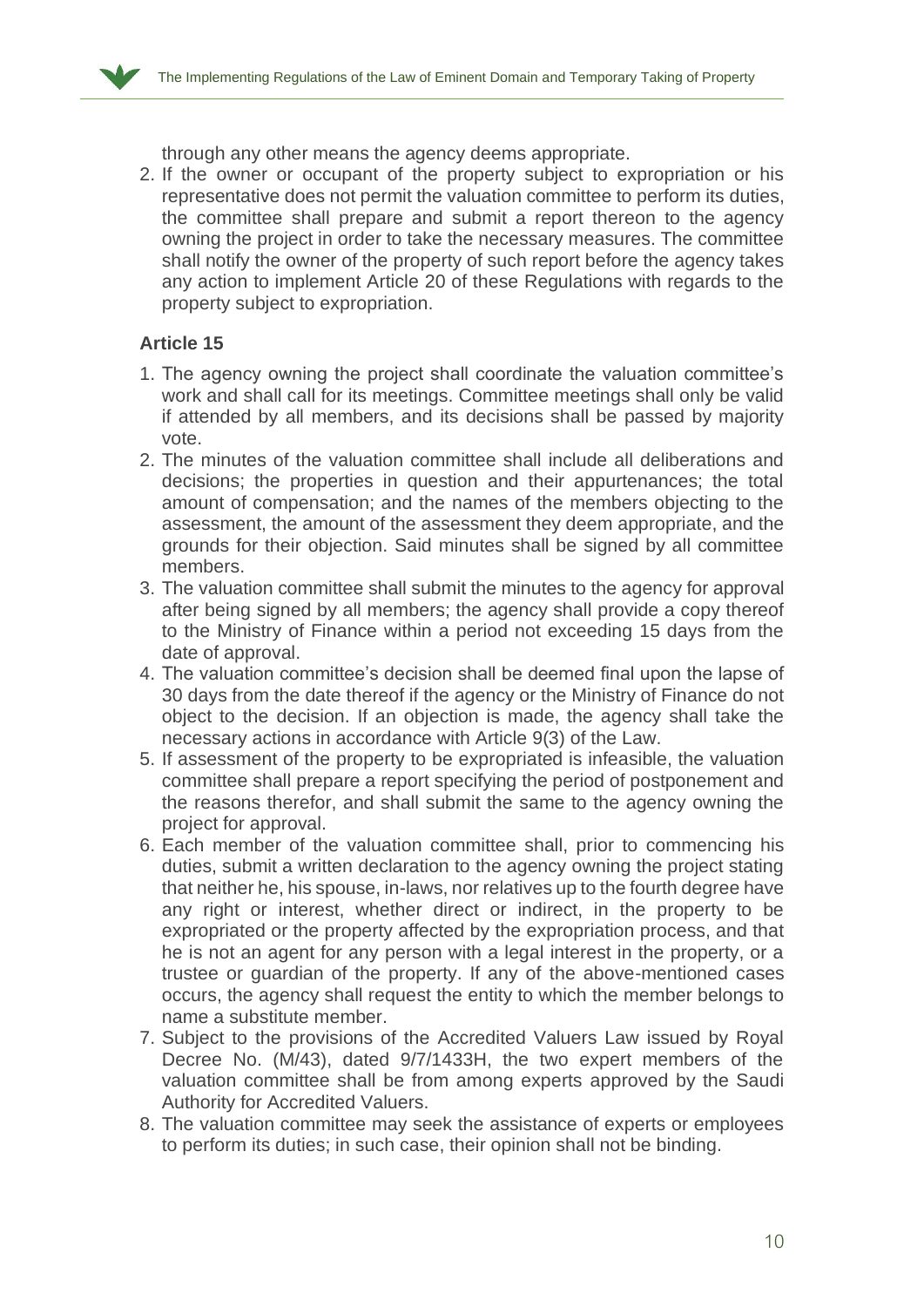through any other means the agency deems appropriate.

2. If the owner or occupant of the property subject to expropriation or his representative does not permit the valuation committee to perform its duties, the committee shall prepare and submit a report thereon to the agency owning the project in order to take the necessary measures. The committee shall notify the owner of the property of such report before the agency takes any action to implement Article 20 of these Regulations with regards to the property subject to expropriation.

## **Article 15**

- 1. The agency owning the project shall coordinate the valuation committee's work and shall call for its meetings. Committee meetings shall only be valid if attended by all members, and its decisions shall be passed by majority vote.
- 2. The minutes of the valuation committee shall include all deliberations and decisions; the properties in question and their appurtenances; the total amount of compensation; and the names of the members objecting to the assessment, the amount of the assessment they deem appropriate, and the grounds for their objection. Said minutes shall be signed by all committee members.
- 3. The valuation committee shall submit the minutes to the agency for approval after being signed by all members; the agency shall provide a copy thereof to the Ministry of Finance within a period not exceeding 15 days from the date of approval.
- 4. The valuation committee's decision shall be deemed final upon the lapse of 30 days from the date thereof if the agency or the Ministry of Finance do not object to the decision. If an objection is made, the agency shall take the necessary actions in accordance with Article 9(3) of the Law.
- 5. If assessment of the property to be expropriated is infeasible, the valuation committee shall prepare a report specifying the period of postponement and the reasons therefor, and shall submit the same to the agency owning the project for approval.
- 6. Each member of the valuation committee shall, prior to commencing his duties, submit a written declaration to the agency owning the project stating that neither he, his spouse, in-laws, nor relatives up to the fourth degree have any right or interest, whether direct or indirect, in the property to be expropriated or the property affected by the expropriation process, and that he is not an agent for any person with a legal interest in the property, or a trustee or guardian of the property. If any of the above-mentioned cases occurs, the agency shall request the entity to which the member belongs to name a substitute member.
- 7. Subject to the provisions of the Accredited Valuers Law issued by Royal Decree No. (M/43), dated 9/7/1433H, the two expert members of the valuation committee shall be from among experts approved by the Saudi Authority for Accredited Valuers.
- 8. The valuation committee may seek the assistance of experts or employees to perform its duties; in such case, their opinion shall not be binding.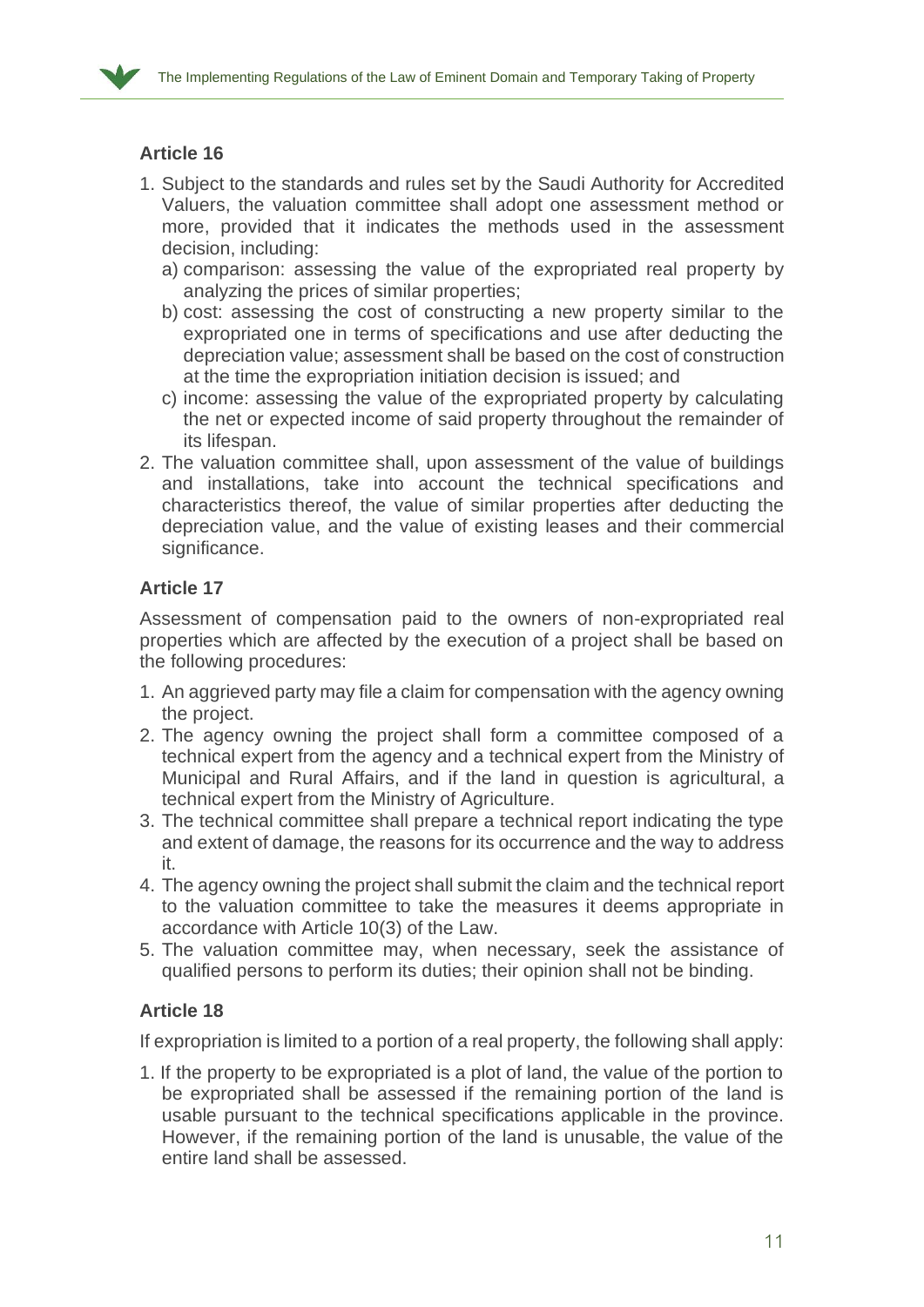- 1. Subject to the standards and rules set by the Saudi Authority for Accredited Valuers, the valuation committee shall adopt one assessment method or more, provided that it indicates the methods used in the assessment decision, including:
	- a) comparison: assessing the value of the expropriated real property by analyzing the prices of similar properties;
	- b) cost: assessing the cost of constructing a new property similar to the expropriated one in terms of specifications and use after deducting the depreciation value; assessment shall be based on the cost of construction at the time the expropriation initiation decision is issued; and
	- c) income: assessing the value of the expropriated property by calculating the net or expected income of said property throughout the remainder of its lifespan.
- 2. The valuation committee shall, upon assessment of the value of buildings and installations, take into account the technical specifications and characteristics thereof, the value of similar properties after deducting the depreciation value, and the value of existing leases and their commercial significance.

# **Article 17**

Assessment of compensation paid to the owners of non-expropriated real properties which are affected by the execution of a project shall be based on the following procedures:

- 1. An aggrieved party may file a claim for compensation with the agency owning the project.
- 2. The agency owning the project shall form a committee composed of a technical expert from the agency and a technical expert from the Ministry of Municipal and Rural Affairs, and if the land in question is agricultural, a technical expert from the Ministry of Agriculture.
- 3. The technical committee shall prepare a technical report indicating the type and extent of damage, the reasons for its occurrence and the way to address it.
- 4. The agency owning the project shall submit the claim and the technical report to the valuation committee to take the measures it deems appropriate in accordance with Article 10(3) of the Law.
- 5. The valuation committee may, when necessary, seek the assistance of qualified persons to perform its duties; their opinion shall not be binding.

# **Article 18**

If expropriation is limited to a portion of a real property, the following shall apply:

1. If the property to be expropriated is a plot of land, the value of the portion to be expropriated shall be assessed if the remaining portion of the land is usable pursuant to the technical specifications applicable in the province. However, if the remaining portion of the land is unusable, the value of the entire land shall be assessed.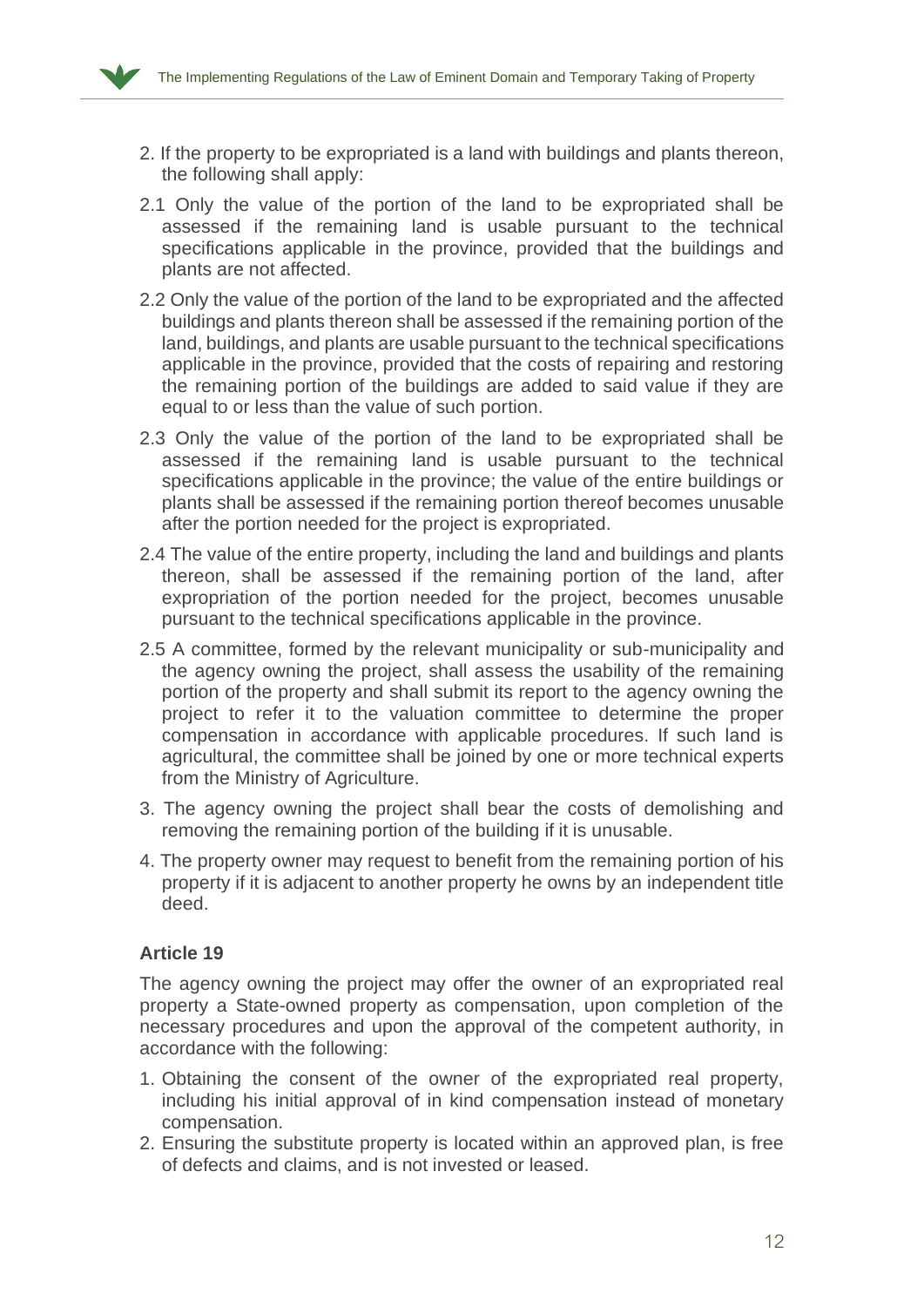

- 2. If the property to be expropriated is a land with buildings and plants thereon, the following shall apply:
- 2.1 Only the value of the portion of the land to be expropriated shall be assessed if the remaining land is usable pursuant to the technical specifications applicable in the province, provided that the buildings and plants are not affected.
- 2.2 Only the value of the portion of the land to be expropriated and the affected buildings and plants thereon shall be assessed if the remaining portion of the land, buildings, and plants are usable pursuant to the technical specifications applicable in the province, provided that the costs of repairing and restoring the remaining portion of the buildings are added to said value if they are equal to or less than the value of such portion.
- 2.3 Only the value of the portion of the land to be expropriated shall be assessed if the remaining land is usable pursuant to the technical specifications applicable in the province; the value of the entire buildings or plants shall be assessed if the remaining portion thereof becomes unusable after the portion needed for the project is expropriated.
- 2.4 The value of the entire property, including the land and buildings and plants thereon, shall be assessed if the remaining portion of the land, after expropriation of the portion needed for the project, becomes unusable pursuant to the technical specifications applicable in the province.
- 2.5 A committee, formed by the relevant municipality or sub-municipality and the agency owning the project, shall assess the usability of the remaining portion of the property and shall submit its report to the agency owning the project to refer it to the valuation committee to determine the proper compensation in accordance with applicable procedures. If such land is agricultural, the committee shall be joined by one or more technical experts from the Ministry of Agriculture.
- 3. The agency owning the project shall bear the costs of demolishing and removing the remaining portion of the building if it is unusable.
- 4. The property owner may request to benefit from the remaining portion of his property if it is adjacent to another property he owns by an independent title deed.

The agency owning the project may offer the owner of an expropriated real property a State-owned property as compensation, upon completion of the necessary procedures and upon the approval of the competent authority, in accordance with the following:

- 1. Obtaining the consent of the owner of the expropriated real property, including his initial approval of in kind compensation instead of monetary compensation.
- 2. Ensuring the substitute property is located within an approved plan, is free of defects and claims, and is not invested or leased.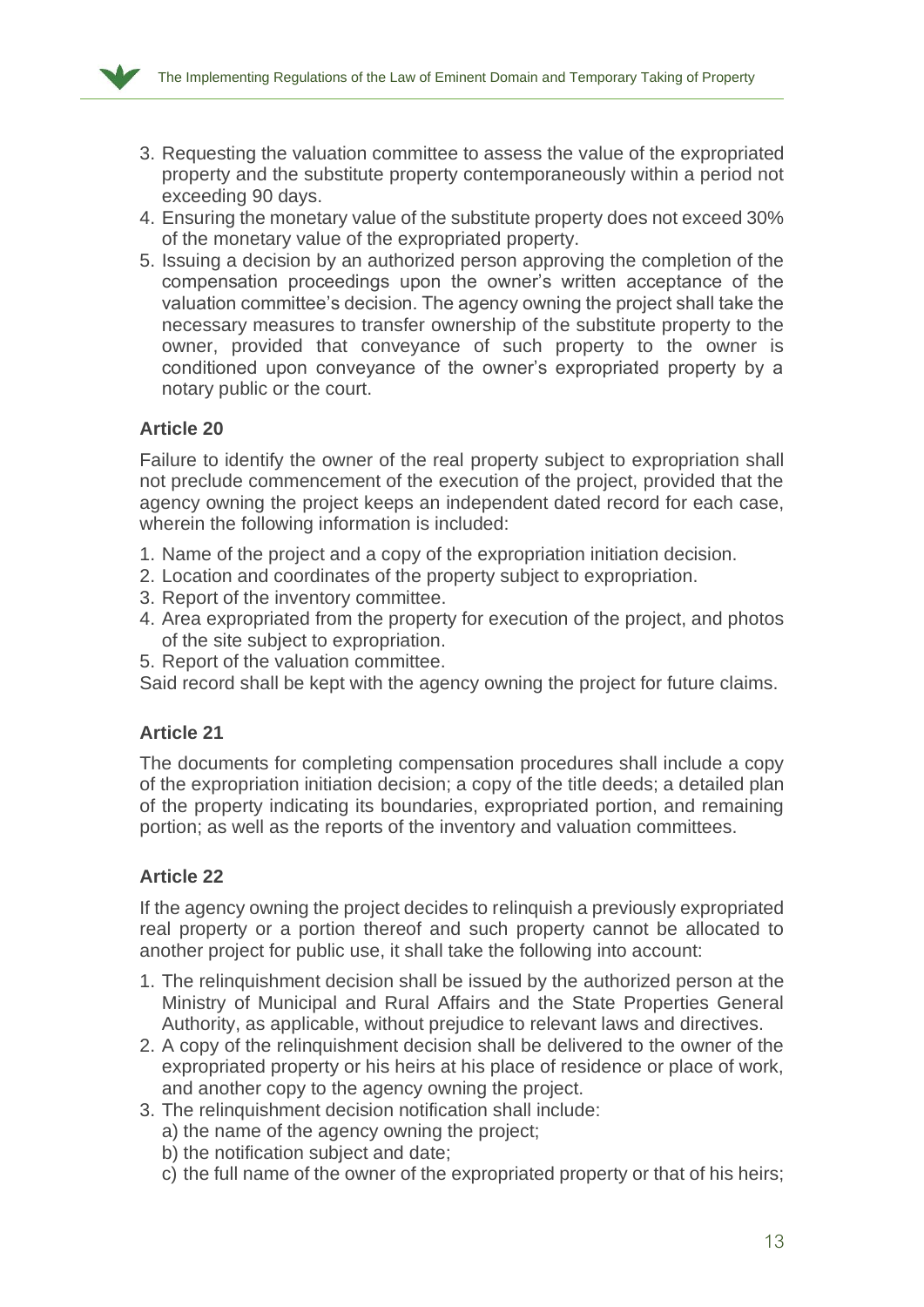

- 3. Requesting the valuation committee to assess the value of the expropriated property and the substitute property contemporaneously within a period not exceeding 90 days.
- 4. Ensuring the monetary value of the substitute property does not exceed 30% of the monetary value of the expropriated property.
- 5. Issuing a decision by an authorized person approving the completion of the compensation proceedings upon the owner's written acceptance of the valuation committee's decision. The agency owning the project shall take the necessary measures to transfer ownership of the substitute property to the owner, provided that conveyance of such property to the owner is conditioned upon conveyance of the owner's expropriated property by a notary public or the court.

Failure to identify the owner of the real property subject to expropriation shall not preclude commencement of the execution of the project, provided that the agency owning the project keeps an independent dated record for each case, wherein the following information is included:

- 1. Name of the project and a copy of the expropriation initiation decision.
- 2. Location and coordinates of the property subject to expropriation.
- 3. Report of the inventory committee.
- 4. Area expropriated from the property for execution of the project, and photos of the site subject to expropriation.
- 5. Report of the valuation committee.

Said record shall be kept with the agency owning the project for future claims.

### **Article 21**

The documents for completing compensation procedures shall include a copy of the expropriation initiation decision; a copy of the title deeds; a detailed plan of the property indicating its boundaries, expropriated portion, and remaining portion; as well as the reports of the inventory and valuation committees.

# **Article 22**

If the agency owning the project decides to relinquish a previously expropriated real property or a portion thereof and such property cannot be allocated to another project for public use, it shall take the following into account:

- 1. The relinquishment decision shall be issued by the authorized person at the Ministry of Municipal and Rural Affairs and the State Properties General Authority, as applicable, without prejudice to relevant laws and directives.
- 2. A copy of the relinquishment decision shall be delivered to the owner of the expropriated property or his heirs at his place of residence or place of work, and another copy to the agency owning the project.
- 3. The relinquishment decision notification shall include:
	- a) the name of the agency owning the project;
	- b) the notification subject and date;
	- c) the full name of the owner of the expropriated property or that of his heirs;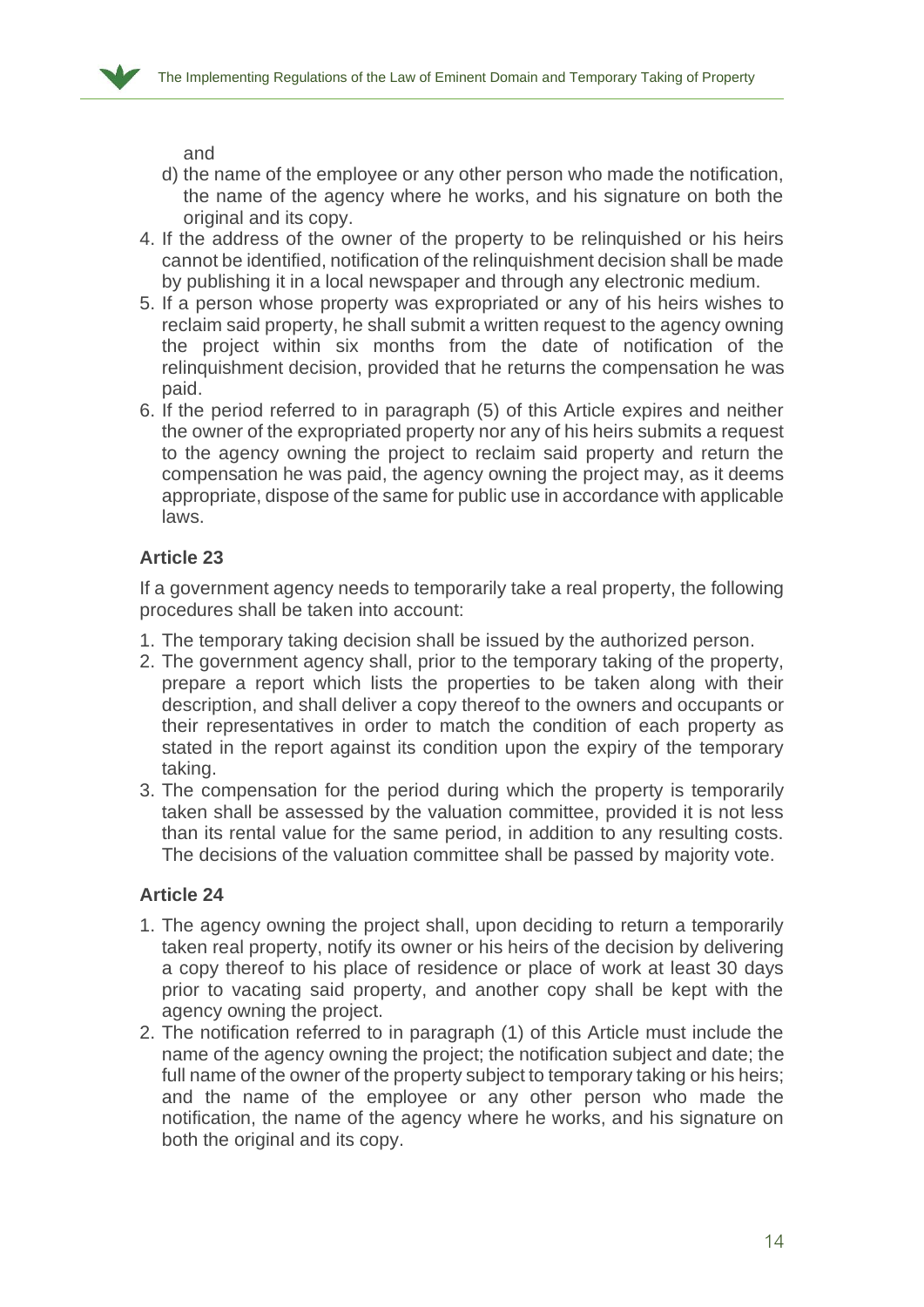

and

- d) the name of the employee or any other person who made the notification, the name of the agency where he works, and his signature on both the original and its copy.
- 4. If the address of the owner of the property to be relinquished or his heirs cannot be identified, notification of the relinquishment decision shall be made by publishing it in a local newspaper and through any electronic medium.
- 5. If a person whose property was expropriated or any of his heirs wishes to reclaim said property, he shall submit a written request to the agency owning the project within six months from the date of notification of the relinquishment decision, provided that he returns the compensation he was paid.
- 6. If the period referred to in paragraph (5) of this Article expires and neither the owner of the expropriated property nor any of his heirs submits a request to the agency owning the project to reclaim said property and return the compensation he was paid, the agency owning the project may, as it deems appropriate, dispose of the same for public use in accordance with applicable laws.

## **Article 23**

If a government agency needs to temporarily take a real property, the following procedures shall be taken into account:

- 1. The temporary taking decision shall be issued by the authorized person.
- 2. The government agency shall, prior to the temporary taking of the property, prepare a report which lists the properties to be taken along with their description, and shall deliver a copy thereof to the owners and occupants or their representatives in order to match the condition of each property as stated in the report against its condition upon the expiry of the temporary taking.
- 3. The compensation for the period during which the property is temporarily taken shall be assessed by the valuation committee, provided it is not less than its rental value for the same period, in addition to any resulting costs. The decisions of the valuation committee shall be passed by majority vote.

# **Article 24**

- 1. The agency owning the project shall, upon deciding to return a temporarily taken real property, notify its owner or his heirs of the decision by delivering a copy thereof to his place of residence or place of work at least 30 days prior to vacating said property, and another copy shall be kept with the agency owning the project.
- 2. The notification referred to in paragraph (1) of this Article must include the name of the agency owning the project; the notification subject and date; the full name of the owner of the property subject to temporary taking or his heirs; and the name of the employee or any other person who made the notification, the name of the agency where he works, and his signature on both the original and its copy.